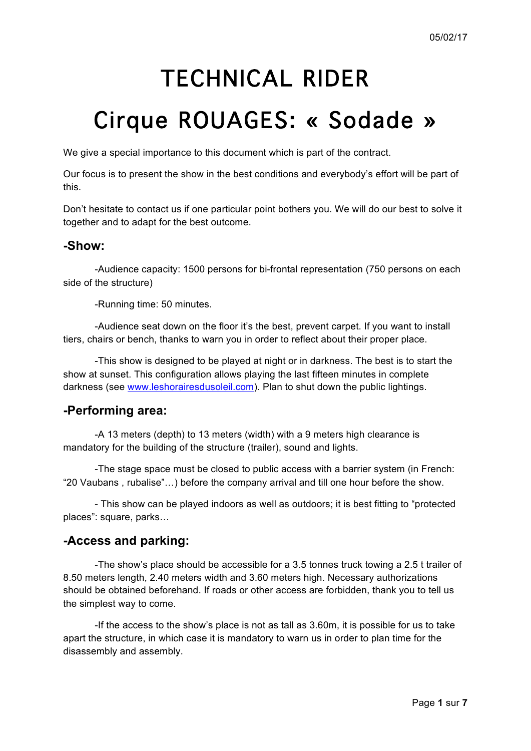# TECHNICAL RIDER

# Cirque ROUAGES: « Sodade »

We give a special importance to this document which is part of the contract.

Our focus is to present the show in the best conditions and everybody's effort will be part of this.

Don't hesitate to contact us if one particular point bothers you. We will do our best to solve it together and to adapt for the best outcome.

#### **-Show:**

-Audience capacity: 1500 persons for bi-frontal representation (750 persons on each side of the structure)

-Running time: 50 minutes.

-Audience seat down on the floor it's the best, prevent carpet. If you want to install tiers, chairs or bench, thanks to warn you in order to reflect about their proper place.

-This show is designed to be played at night or in darkness. The best is to start the show at sunset. This configuration allows playing the last fifteen minutes in complete darkness (see www.leshorairesdusoleil.com). Plan to shut down the public lightings.

## **-Performing area:**

-A 13 meters (depth) to 13 meters (width) with a 9 meters high clearance is mandatory for the building of the structure (trailer), sound and lights.

-The stage space must be closed to public access with a barrier system (in French: "20 Vaubans , rubalise"…) before the company arrival and till one hour before the show.

- This show can be played indoors as well as outdoors; it is best fitting to "protected places": square, parks…

### **-Access and parking:**

-The show's place should be accessible for a 3.5 tonnes truck towing a 2.5 t trailer of 8.50 meters length, 2.40 meters width and 3.60 meters high. Necessary authorizations should be obtained beforehand. If roads or other access are forbidden, thank you to tell us the simplest way to come.

-If the access to the show's place is not as tall as 3.60m, it is possible for us to take apart the structure, in which case it is mandatory to warn us in order to plan time for the disassembly and assembly.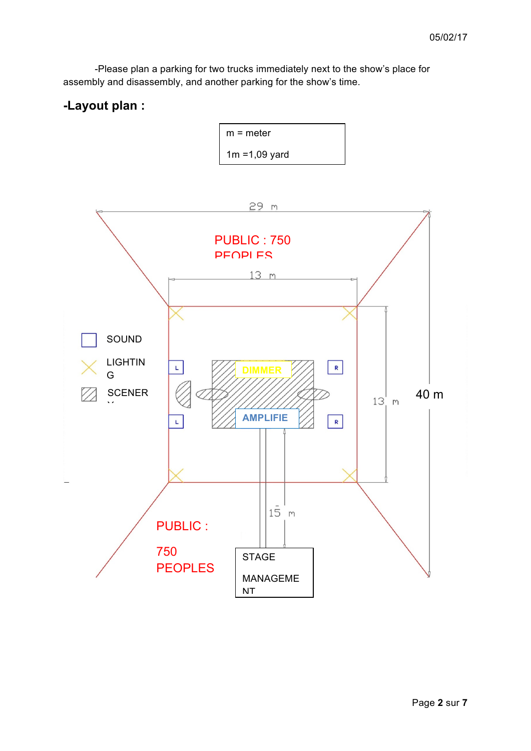-Please plan a parking for two trucks immediately next to the show's place for assembly and disassembly, and another parking for the show's time.

# **-Layout plan :**

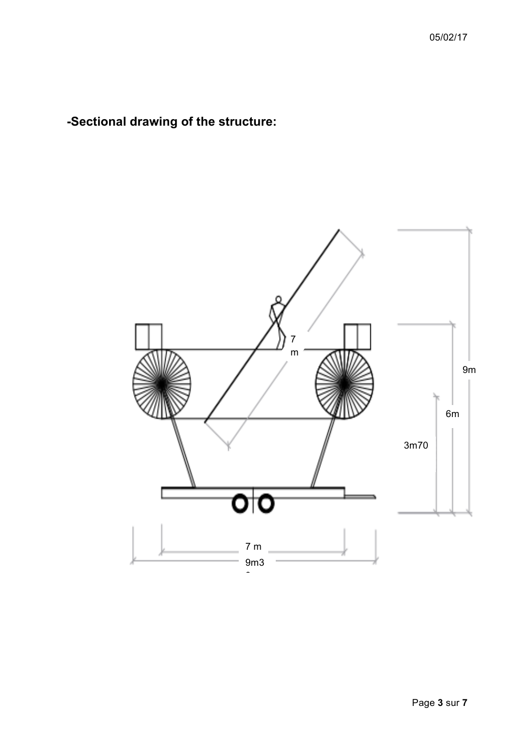**-Sectional drawing of the structure:**

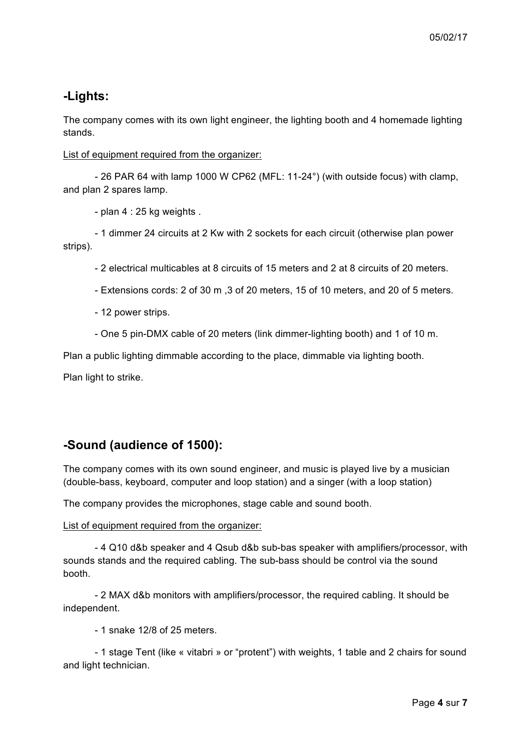# **-Lights:**

The company comes with its own light engineer, the lighting booth and 4 homemade lighting stands.

List of equipment required from the organizer:

- 26 PAR 64 with lamp 1000 W CP62 (MFL: 11-24°) (with outside focus) with clamp, and plan 2 spares lamp.

- plan 4 : 25 kg weights .

- 1 dimmer 24 circuits at 2 Kw with 2 sockets for each circuit (otherwise plan power strips).

- 2 electrical multicables at 8 circuits of 15 meters and 2 at 8 circuits of 20 meters.

- Extensions cords: 2 of 30 m ,3 of 20 meters, 15 of 10 meters, and 20 of 5 meters.

- 12 power strips.

- One 5 pin-DMX cable of 20 meters (link dimmer-lighting booth) and 1 of 10 m.

Plan a public lighting dimmable according to the place, dimmable via lighting booth.

Plan light to strike.

# **-Sound (audience of 1500):**

The company comes with its own sound engineer, and music is played live by a musician (double-bass, keyboard, computer and loop station) and a singer (with a loop station)

The company provides the microphones, stage cable and sound booth.

List of equipment required from the organizer:

- 4 Q10 d&b speaker and 4 Qsub d&b sub-bas speaker with amplifiers/processor, with sounds stands and the required cabling. The sub-bass should be control via the sound booth.

- 2 MAX d&b monitors with amplifiers/processor, the required cabling. It should be independent.

- 1 snake 12/8 of 25 meters.

- 1 stage Tent (like « vitabri » or "protent") with weights, 1 table and 2 chairs for sound and light technician.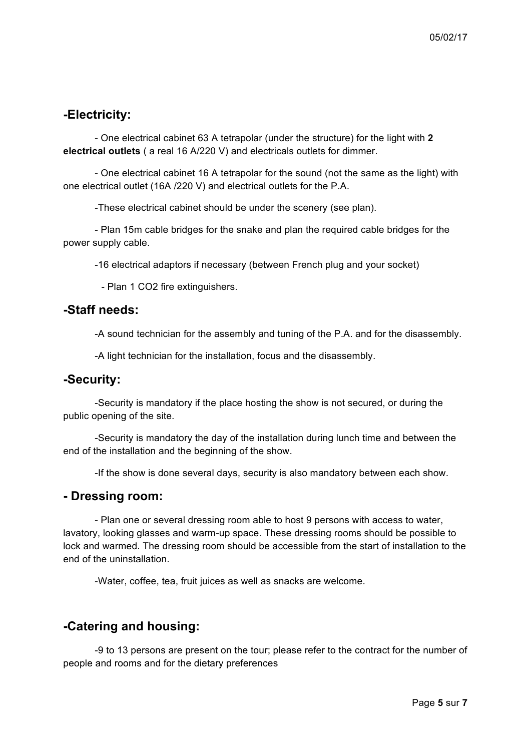# **-Electricity:**

- One electrical cabinet 63 A tetrapolar (under the structure) for the light with **2 electrical outlets** ( a real 16 A/220 V) and electricals outlets for dimmer.

- One electrical cabinet 16 A tetrapolar for the sound (not the same as the light) with one electrical outlet (16A /220 V) and electrical outlets for the P.A.

-These electrical cabinet should be under the scenery (see plan).

- Plan 15m cable bridges for the snake and plan the required cable bridges for the power supply cable.

-16 electrical adaptors if necessary (between French plug and your socket)

- Plan 1 CO2 fire extinguishers.

## **-Staff needs:**

-A sound technician for the assembly and tuning of the P.A. and for the disassembly.

-A light technician for the installation, focus and the disassembly.

### **-Security:**

-Security is mandatory if the place hosting the show is not secured, or during the public opening of the site.

-Security is mandatory the day of the installation during lunch time and between the end of the installation and the beginning of the show.

-If the show is done several days, security is also mandatory between each show.

#### **- Dressing room:**

- Plan one or several dressing room able to host 9 persons with access to water, lavatory, looking glasses and warm-up space. These dressing rooms should be possible to lock and warmed. The dressing room should be accessible from the start of installation to the end of the uninstallation.

-Water, coffee, tea, fruit juices as well as snacks are welcome.

### **-Catering and housing:**

-9 to 13 persons are present on the tour; please refer to the contract for the number of people and rooms and for the dietary preferences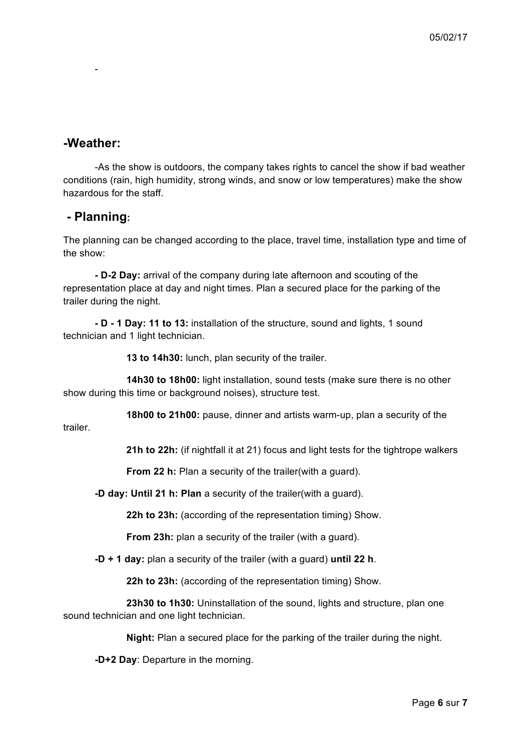## **-Weather:**

-

-As the show is outdoors, the company takes rights to cancel the show if bad weather conditions (rain, high humidity, strong winds, and snow or low temperatures) make the show hazardous for the staff.

#### **- Planning:**

The planning can be changed according to the place, travel time, installation type and time of the show:

**- D-2 Day:** arrival of the company during late afternoon and scouting of the representation place at day and night times. Plan a secured place for the parking of the trailer during the night.

**- D - 1 Day: 11 to 13:** installation of the structure, sound and lights, 1 sound technician and 1 light technician.

**13 to 14h30:** lunch, plan security of the trailer.

**14h30 to 18h00:** light installation, sound tests (make sure there is no other show during this time or background noises), structure test.

**18h00 to 21h00:** pause, dinner and artists warm-up, plan a security of the

trailer.

**21h to 22h:** (if nightfall it at 21) focus and light tests for the tightrope walkers

**From 22 h:** Plan a security of the trailer(with a guard).

**-D day: Until 21 h: Plan** a security of the trailer(with a guard).

**22h to 23h:** (according of the representation timing) Show.

**From 23h:** plan a security of the trailer (with a guard).

**-D + 1 day:** plan a security of the trailer (with a guard) **until 22 h**.

**22h to 23h:** (according of the representation timing) Show.

**23h30 to 1h30:** Uninstallation of the sound, lights and structure, plan one sound technician and one light technician.

**Night:** Plan a secured place for the parking of the trailer during the night.

**-D+2 Day**: Departure in the morning.